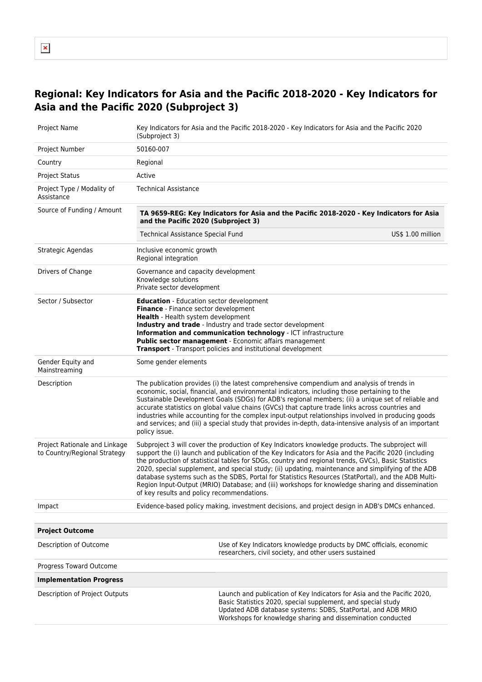## **Regional: Key Indicators for Asia and the Pacific 2018-2020 - Key Indicators for Asia and the Pacific 2020 (Subproject 3)**

| Project Name                                                  | (Subproject 3)                                                                                                                  | Key Indicators for Asia and the Pacific 2018-2020 - Key Indicators for Asia and the Pacific 2020                                                                                                                                                                                                                                                                                                                                                                                                                                                                                                                                  |  |  |  |
|---------------------------------------------------------------|---------------------------------------------------------------------------------------------------------------------------------|-----------------------------------------------------------------------------------------------------------------------------------------------------------------------------------------------------------------------------------------------------------------------------------------------------------------------------------------------------------------------------------------------------------------------------------------------------------------------------------------------------------------------------------------------------------------------------------------------------------------------------------|--|--|--|
| Project Number                                                | 50160-007                                                                                                                       |                                                                                                                                                                                                                                                                                                                                                                                                                                                                                                                                                                                                                                   |  |  |  |
| Country                                                       | Regional                                                                                                                        |                                                                                                                                                                                                                                                                                                                                                                                                                                                                                                                                                                                                                                   |  |  |  |
| <b>Project Status</b>                                         | Active                                                                                                                          |                                                                                                                                                                                                                                                                                                                                                                                                                                                                                                                                                                                                                                   |  |  |  |
| Project Type / Modality of<br>Assistance                      | Technical Assistance                                                                                                            |                                                                                                                                                                                                                                                                                                                                                                                                                                                                                                                                                                                                                                   |  |  |  |
| Source of Funding / Amount                                    | TA 9659-REG: Key Indicators for Asia and the Pacific 2018-2020 - Key Indicators for Asia<br>and the Pacific 2020 (Subproject 3) |                                                                                                                                                                                                                                                                                                                                                                                                                                                                                                                                                                                                                                   |  |  |  |
|                                                               | <b>Technical Assistance Special Fund</b>                                                                                        | US\$ 1.00 million                                                                                                                                                                                                                                                                                                                                                                                                                                                                                                                                                                                                                 |  |  |  |
| Strategic Agendas                                             | Inclusive economic growth<br>Regional integration                                                                               |                                                                                                                                                                                                                                                                                                                                                                                                                                                                                                                                                                                                                                   |  |  |  |
| Drivers of Change                                             | Governance and capacity development<br>Knowledge solutions<br>Private sector development                                        |                                                                                                                                                                                                                                                                                                                                                                                                                                                                                                                                                                                                                                   |  |  |  |
| Sector / Subsector                                            | <b>Education</b> - Education sector development<br>Finance - Finance sector development<br>Health - Health system development   | Industry and trade - Industry and trade sector development<br>Information and communication technology - ICT infrastructure<br>Public sector management - Economic affairs management<br><b>Transport</b> - Transport policies and institutional development                                                                                                                                                                                                                                                                                                                                                                      |  |  |  |
| Gender Equity and<br>Mainstreaming                            | Some gender elements                                                                                                            |                                                                                                                                                                                                                                                                                                                                                                                                                                                                                                                                                                                                                                   |  |  |  |
| Description                                                   | policy issue.                                                                                                                   | The publication provides (i) the latest comprehensive compendium and analysis of trends in<br>economic, social, financial, and environmental indicators, including those pertaining to the<br>Sustainable Development Goals (SDGs) for ADB's regional members; (ii) a unique set of reliable and<br>accurate statistics on global value chains (GVCs) that capture trade links across countries and<br>industries while accounting for the complex input-output relationships involved in producing goods<br>and services; and (iii) a special study that provides in-depth, data-intensive analysis of an important              |  |  |  |
| Project Rationale and Linkage<br>to Country/Regional Strategy | of key results and policy recommendations.                                                                                      | Subproject 3 will cover the production of Key Indicators knowledge products. The subproject will<br>support the (i) launch and publication of the Key Indicators for Asia and the Pacific 2020 (including<br>the production of statistical tables for SDGs, country and regional trends, GVCs), Basic Statistics<br>2020, special supplement, and special study; (ii) updating, maintenance and simplifying of the ADB<br>database systems such as the SDBS, Portal for Statistics Resources (StatPortal), and the ADB Multi-<br>Region Input-Output (MRIO) Database; and (iii) workshops for knowledge sharing and dissemination |  |  |  |
| Impact                                                        |                                                                                                                                 | Evidence-based policy making, investment decisions, and project design in ADB's DMCs enhanced.                                                                                                                                                                                                                                                                                                                                                                                                                                                                                                                                    |  |  |  |
|                                                               |                                                                                                                                 |                                                                                                                                                                                                                                                                                                                                                                                                                                                                                                                                                                                                                                   |  |  |  |
| <b>Project Outcome</b>                                        |                                                                                                                                 |                                                                                                                                                                                                                                                                                                                                                                                                                                                                                                                                                                                                                                   |  |  |  |
| Description of Outcome                                        |                                                                                                                                 | Use of Key Indicators knowledge products by DMC officials, economic<br>researchers, civil society, and other users sustained                                                                                                                                                                                                                                                                                                                                                                                                                                                                                                      |  |  |  |
| Progress Toward Outcome                                       |                                                                                                                                 |                                                                                                                                                                                                                                                                                                                                                                                                                                                                                                                                                                                                                                   |  |  |  |
| <b>Implementation Progress</b>                                |                                                                                                                                 |                                                                                                                                                                                                                                                                                                                                                                                                                                                                                                                                                                                                                                   |  |  |  |
| Description of Project Outputs                                |                                                                                                                                 | Launch and publication of Key Indicators for Asia and the Pacific 2020,<br>Basic Statistics 2020, special supplement, and special study<br>Updated ADB database systems: SDBS, StatPortal, and ADB MRIO<br>Workshops for knowledge sharing and dissemination conducted                                                                                                                                                                                                                                                                                                                                                            |  |  |  |